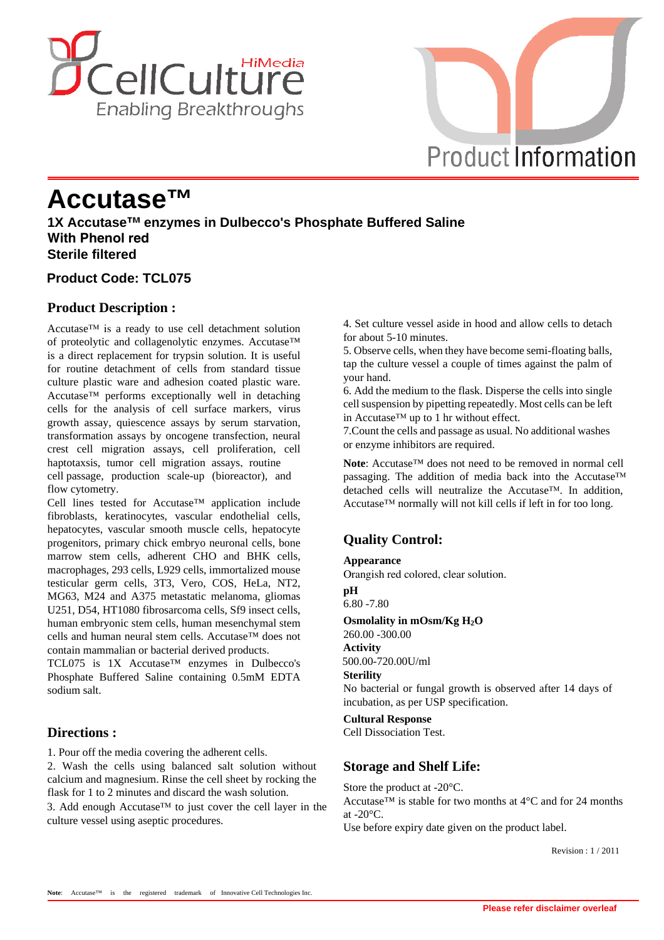



# **Accutase™**

**1X Accutase™ enzymes in Dulbecco's Phosphate Buffered Saline With Phenol red Sterile filtered**

## **Product Code: TCL075**

## **Product Description :**

Accutase™ is a ready to use cell detachment solution of proteolytic and collagenolytic enzymes. Accutase™ is a direct replacement for trypsin solution. It is useful for routine detachment of cells from standard tissue culture plastic ware and adhesion coated plastic ware. Accutase™ performs exceptionally well in detaching cells for the analysis of cell surface markers, virus growth assay, quiescence assays by serum starvation, transformation assays by oncogene transfection, neural crest cell migration assays, cell proliferation, cell haptotaxsis, tumor cell migration assays, routine cell passage, production scale-up (bioreactor), and flow cytometry.

Cell lines tested for Accutase™ application include fibroblasts, keratinocytes, vascular endothelial cells, hepatocytes, vascular smooth muscle cells, hepatocyte progenitors, primary chick embryo neuronal cells, bone marrow stem cells, adherent CHO and BHK cells, macrophages, 293 cells, L929 cells, immortalized mouse testicular germ cells, 3T3, Vero, COS, HeLa, NT2, MG63, M24 and A375 metastatic melanoma, gliomas U251, D54, HT1080 fibrosarcoma cells, Sf9 insect cells, human embryonic stem cells, human mesenchymal stem cells and human neural stem cells. Accutase™ does not contain mammalian or bacterial derived products.

TCL075 is 1X Accutase™ enzymes in Dulbecco's Phosphate Buffered Saline containing 0.5mM EDTA sodium salt.

# **Directions :**

1. Pour off the media covering the adherent cells.

2. Wash the cells using balanced salt solution without calcium and magnesium. Rinse the cell sheet by rocking the flask for 1 to 2 minutes and discard the wash solution.

3. Add enough Accutase™ to just cover the cell layer in the culture vessel using aseptic procedures.

4. Set culture vessel aside in hood and allow cells to detach for about 5-10 minutes.

5. Observe cells, when they have become semi-floating balls, tap the culture vessel a couple of times against the palm of your hand.

6. Add the medium to the flask. Disperse the cells into single cell suspension by pipetting repeatedly. Most cells can be left in Accutase™ up to 1 hr without effect.

7. Count the cells and passage as usual. No additional washes or enzyme inhibitors are required.

**Note**: Accutase™ does not need to be removed in normal cell passaging. The addition of media back into the Accutase™ detached cells will neutralize the Accutase™. In addition, Accutase™ normally will not kill cells if left in for too long.

# **Quality Control:**

#### **Appearance**

Orangish red colored, clear solution.

**pH** 6.80 -7.80

#### **Osmolality in mOsm/Kg H2O**

260.00 -300.00 **Activity** 500.00-720.00U/ml

#### **Sterility**

No bacterial or fungal growth is observed after 14 days of incubation, as per USP specification.

#### **Cultural Response**

Cell Dissociation Test.

## **Storage and Shelf Life:**

Store the product at -20°C.

Accutase<sup>TM</sup> is stable for two months at  $4^{\circ}$ C and for 24 months at  $-20^{\circ}$ C.

Use before expiry date given on the product label.

 $R$ evision : 1/2011